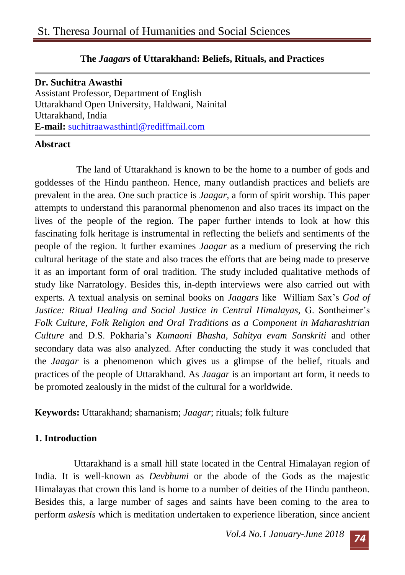## **The** *Jaagars* **of Uttarakhand: Beliefs, Rituals, and Practices**

**Dr. Suchitra Awasthi**  Assistant Professor, Department of English Uttarakhand Open University, Haldwani, Nainital Uttarakhand, India **E-mail:** suchitraawasthintl@rediffmail.com

## **Abstract**

The land of Uttarakhand is known to be the home to a number of gods and goddesses of the Hindu pantheon. Hence, many outlandish practices and beliefs are prevalent in the area. One such practice is *Jaagar,* a form of spirit worship. This paper attempts to understand this paranormal phenomenon and also traces its impact on the lives of the people of the region. The paper further intends to look at how this fascinating folk heritage is instrumental in reflecting the beliefs and sentiments of the people of the region. It further examines *Jaagar* as a medium of preserving the rich cultural heritage of the state and also traces the efforts that are being made to preserve it as an important form of oral tradition. The study included qualitative methods of study like Narratology. Besides this, in-depth interviews were also carried out with experts. A textual analysis on seminal books on *Jaagars* like William Sax's *God of Justice: Ritual Healing and Social Justice in Central Himalayas,* G. Sontheimer's *Folk Culture, Folk Religion and Oral Traditions as a Component in Maharashtrian Culture* and D.S. Pokharia's *Kumaoni Bhasha, Sahitya evam Sanskriti* and other secondary data was also analyzed. After conducting the study it was concluded that the *Jaagar* is a phenomenon which gives us a glimpse of the belief, rituals and practices of the people of Uttarakhand. As *Jaagar* is an important art form, it needs to be promoted zealously in the midst of the cultural for a worldwide.

**Keywords:** Uttarakhand; shamanism; *Jaagar*; rituals; folk fulture

## **1. Introduction**

Uttarakhand is a small hill state located in the Central Himalayan region of India. It is well-known as *Devbhumi* or the abode of the Gods as the majestic Himalayas that crown this land is home to a number of deities of the Hindu pantheon. Besides this, a large number of sages and saints have been coming to the area to perform *askesis* which is meditation undertaken to experience liberation, since ancient

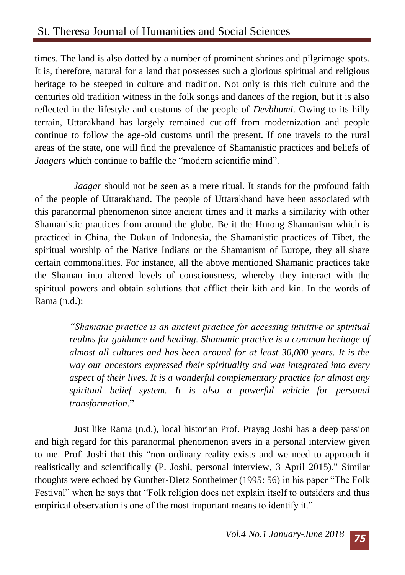times. The land is also dotted by a number of prominent shrines and pilgrimage spots. It is, therefore, natural for a land that possesses such a glorious spiritual and religious heritage to be steeped in culture and tradition. Not only is this rich culture and the centuries old tradition witness in the folk songs and dances of the region, but it is also reflected in the lifestyle and customs of the people of *Devbhumi*. Owing to its hilly terrain, Uttarakhand has largely remained cut-off from modernization and people continue to follow the age-old customs until the present. If one travels to the rural areas of the state, one will find the prevalence of Shamanistic practices and beliefs of *Jaagars* which continue to baffle the "modern scientific mind".

*Jaagar* should not be seen as a mere ritual. It stands for the profound faith of the people of Uttarakhand. The people of Uttarakhand have been associated with this paranormal phenomenon since ancient times and it marks a similarity with other Shamanistic practices from around the globe. Be it the Hmong Shamanism which is practiced in China, the Dukun of Indonesia, the Shamanistic practices of Tibet, the spiritual worship of the Native Indians or the Shamanism of Europe, they all share certain commonalities. For instance, all the above mentioned Shamanic practices take the Shaman into altered levels of consciousness, whereby they interact with the spiritual powers and obtain solutions that afflict their kith and kin. In the words of Rama (n.d.):

> *"Shamanic practice is an ancient practice for accessing intuitive or spiritual realms for guidance and healing. Shamanic practice is a common heritage of almost all cultures and has been around for at least 30,000 years. It is the way our ancestors expressed their spirituality and was integrated into every aspect of their lives. It is a wonderful complementary practice for almost any spiritual belief system. It is also a powerful vehicle for personal transformation*."

Just like Rama (n.d.), local historian Prof. Prayag Joshi has a deep passion and high regard for this paranormal phenomenon avers in a personal interview given to me. Prof. Joshi that this "non-ordinary reality exists and we need to approach it realistically and scientifically (P. Joshi, personal interview, 3 April 2015)." Similar thoughts were echoed by Gunther-Dietz Sontheimer (1995: 56) in his paper "The Folk Festival" when he says that "Folk religion does not explain itself to outsiders and thus empirical observation is one of the most important means to identify it."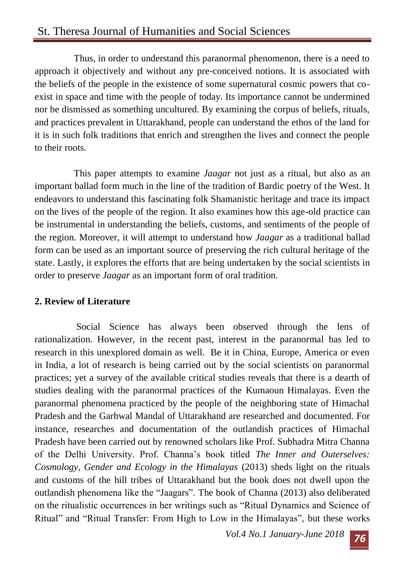# St. Theresa Journal of Humanities and Social Sciences

Thus, in order to understand this paranormal phenomenon, there is a need to approach it objectively and without any pre-conceived notions. It is associated with the beliefs of the people in the existence of some supernatural cosmic powers that coexist in space and time with the people of today. Its importance cannot be undermined nor be dismissed as something uncultured. By examining the corpus of beliefs, rituals, and practices prevalent in Uttarakhand, people can understand the ethos of the land for it is in such folk traditions that enrich and strengthen the lives and connect the people to their roots.

This paper attempts to examine *Jaagar* not just as a ritual, but also as an important ballad form much in the line of the tradition of Bardic poetry of the West. It endeavors to understand this fascinating folk Shamanistic heritage and trace its impact on the lives of the people of the region. It also examines how this age-old practice can be instrumental in understanding the beliefs, customs, and sentiments of the people of the region. Moreover, it will attempt to understand how *Jaagar* as a traditional ballad form can be used as an important source of preserving the rich cultural heritage of the state. Lastly, it explores the efforts that are being undertaken by the social scientists in order to preserve *Jaagar* as an important form of oral tradition.

#### **2. Review of Literature**

Social Science has always been observed through the lens of rationalization. However, in the recent past, interest in the paranormal has led to research in this unexplored domain as well. Be it in China, Europe, America or even in India, a lot of research is being carried out by the social scientists on paranormal practices; yet a survey of the available critical studies reveals that there is a dearth of studies dealing with the paranormal practices of the Kumaoun Himalayas. Even the paranormal phenomena practiced by the people of the neighboring state of Himachal Pradesh and the Garhwal Mandal of Uttarakhand are researched and documented. For instance, researches and documentation of the outlandish practices of Himachal Pradesh have been carried out by renowned scholars like Prof. Subhadra Mitra Channa of the Delhi University. Prof. Channa's book titled *The Inner and Outerselves: Cosmology, Gender and Ecology in the Himalayas* (2013) sheds light on the rituals and customs of the hill tribes of Uttarakhand but the book does not dwell upon the outlandish phenomena like the "Jaagars". The book of Channa (2013) also deliberated on the ritualistic occurrences in her writings such as "Ritual Dynamics and Science of Ritual" and "Ritual Transfer: From High to Low in the Himalayas", but these works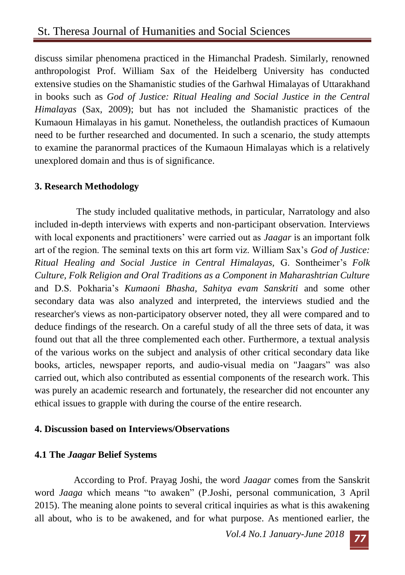discuss similar phenomena practiced in the Himanchal Pradesh. Similarly, renowned anthropologist Prof. William Sax of the Heidelberg University has conducted extensive studies on the Shamanistic studies of the Garhwal Himalayas of Uttarakhand in books such as *God of Justice: Ritual Healing and Social Justice in the Central Himalayas* (Sax, 2009); but has not included the Shamanistic practices of the Kumaoun Himalayas in his gamut. Nonetheless, the outlandish practices of Kumaoun need to be further researched and documented. In such a scenario, the study attempts to examine the paranormal practices of the Kumaoun Himalayas which is a relatively unexplored domain and thus is of significance.

## **3. Research Methodology**

The study included qualitative methods, in particular, Narratology and also included in-depth interviews with experts and non-participant observation. Interviews with local exponents and practitioners' were carried out as *Jaagar* is an important folk art of the region. The seminal texts on this art form viz. William Sax's *God of Justice: Ritual Healing and Social Justice in Central Himalayas,* G. Sontheimer's *Folk Culture, Folk Religion and Oral Traditions as a Component in Maharashtrian Culture*  and D.S. Pokharia's *Kumaoni Bhasha, Sahitya evam Sanskriti* and some other secondary data was also analyzed and interpreted, the interviews studied and the researcher's views as non-participatory observer noted, they all were compared and to deduce findings of the research. On a careful study of all the three sets of data, it was found out that all the three complemented each other. Furthermore, a textual analysis of the various works on the subject and analysis of other critical secondary data like books, articles, newspaper reports, and audio-visual media on "Jaagars" was also carried out, which also contributed as essential components of the research work. This was purely an academic research and fortunately, the researcher did not encounter any ethical issues to grapple with during the course of the entire research.

## **4. Discussion based on Interviews/Observations**

#### **4.1 The** *Jaagar* **Belief Systems**

According to Prof. Prayag Joshi, the word *Jaagar* comes from the Sanskrit word *Jaaga* which means "to awaken" (P.Joshi, personal communication, 3 April 2015). The meaning alone points to several critical inquiries as what is this awakening all about, who is to be awakened, and for what purpose. As mentioned earlier, the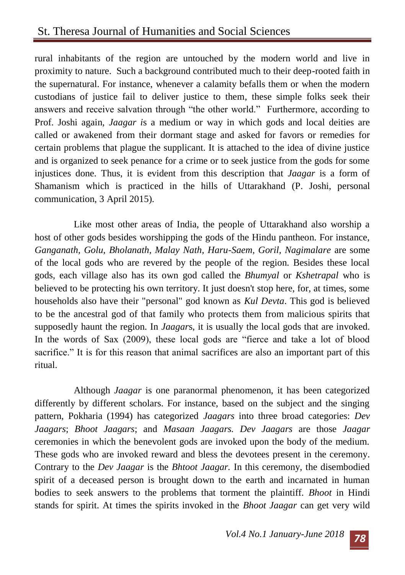rural inhabitants of the region are untouched by the modern world and live in proximity to nature. Such a background contributed much to their deep-rooted faith in the supernatural. For instance, whenever a calamity befalls them or when the modern custodians of justice fail to deliver justice to them, these simple folks seek their answers and receive salvation through "the other world." Furthermore, according to Prof. Joshi again, *Jaagar i*s a medium or way in which gods and local deities are called or awakened from their dormant stage and asked for favors or remedies for certain problems that plague the supplicant. It is attached to the idea of divine justice and is organized to seek penance for a crime or to seek justice from the gods for some injustices done. Thus, it is evident from this description that *Jaagar* is a form of Shamanism which is practiced in the hills of Uttarakhand (P. Joshi, personal communication, 3 April 2015).

Like most other areas of India, the people of Uttarakhand also worship a host of other gods besides worshipping the gods of the Hindu pantheon. For instance, *Ganganath, Golu, Bholanath, Malay Nath, Haru-Saem, Goril, Nagimalare* are some of the local gods who are revered by the people of the region. Besides these local gods, each village also has its own god called the *Bhumyal* or *Kshetrapal* who is believed to be protecting his own territory. It just doesn't stop here, for, at times, some households also have their "personal" god known as *Kul Devta*. This god is believed to be the ancestral god of that family who protects them from malicious spirits that supposedly haunt the region. In *Jaagar*s, it is usually the local gods that are invoked. In the words of Sax (2009), these local gods are "fierce and take a lot of blood sacrifice." It is for this reason that animal sacrifices are also an important part of this ritual.

Although *Jaagar* is one paranormal phenomenon, it has been categorized differently by different scholars. For instance, based on the subject and the singing pattern, Pokharia (1994) has categorized *Jaagars* into three broad categories: *Dev Jaagars*; *Bhoot Jaagars*; and *Masaan Jaagars. Dev Jaagars* are those *Jaagar*  ceremonies in which the benevolent gods are invoked upon the body of the medium. These gods who are invoked reward and bless the devotees present in the ceremony. Contrary to the *Dev Jaagar* is the *Bhtoot Jaagar.* In this ceremony, the disembodied spirit of a deceased person is brought down to the earth and incarnated in human bodies to seek answers to the problems that torment the plaintiff. *Bhoot* in Hindi stands for spirit. At times the spirits invoked in the *Bhoot Jaagar* can get very wild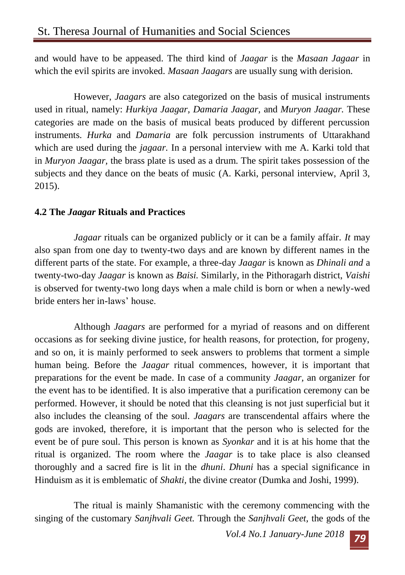and would have to be appeased. The third kind of *Jaagar* is the *Masaan Jagaar* in which the evil spirits are invoked. *Masaan Jaagars* are usually sung with derision.

However, *Jaagars* are also categorized on the basis of musical instruments used in ritual, namely: *Hurkiya Jaagar, Damaria Jaagar,* and *Muryon Jaagar.* These categories are made on the basis of musical beats produced by different percussion instruments. *Hurka* and *Damaria* are folk percussion instruments of Uttarakhand which are used during the *jagaar.* In a personal interview with me A. Karki told that in *Muryon Jaagar,* the brass plate is used as a drum. The spirit takes possession of the subjects and they dance on the beats of music (A. Karki, personal interview, April 3, 2015).

## **4.2 The** *Jaagar* **Rituals and Practices**

*Jagaar* rituals can be organized publicly or it can be a family affair*. It* may also span from one day to twenty-two days and are known by different names in the different parts of the state. For example, a three-day *Jaagar* is known as *Dhinali and* a twenty-two-day *Jaagar* is known as *Baisi.* Similarly, in the Pithoragarh district, *Vaishi*  is observed for twenty-two long days when a male child is born or when a newly-wed bride enters her in-laws' house.

Although *Jaagars* are performed for a myriad of reasons and on different occasions as for seeking divine justice, for health reasons, for protection, for progeny, and so on, it is mainly performed to seek answers to problems that torment a simple human being. Before the *Jaagar* ritual commences, however, it is important that preparations for the event be made. In case of a community *Jaagar,* an organizer for the event has to be identified. It is also imperative that a purification ceremony can be performed. However, it should be noted that this cleansing is not just superficial but it also includes the cleansing of the soul. *Jaagars* are transcendental affairs where the gods are invoked, therefore, it is important that the person who is selected for the event be of pure soul. This person is known as *Syonkar* and it is at his home that the ritual is organized. The room where the *Jaagar* is to take place is also cleansed thoroughly and a sacred fire is lit in the *dhuni*. *Dhuni* has a special significance in Hinduism as it is emblematic of *Shakti,* the divine creator (Dumka and Joshi, 1999).

The ritual is mainly Shamanistic with the ceremony commencing with the singing of the customary *Sanjhvali Geet.* Through the *Sanjhvali Geet,* the gods of the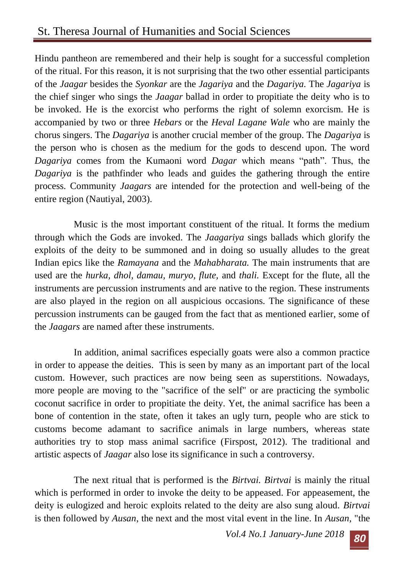Hindu pantheon are remembered and their help is sought for a successful completion of the ritual. For this reason, it is not surprising that the two other essential participants of the *Jaagar* besides the *Syonkar* are the *Jagariya* and the *Dagariya.* The *Jagariya* is the chief singer who sings the *Jaagar* ballad in order to propitiate the deity who is to be invoked. He is the exorcist who performs the right of solemn exorcism. He is accompanied by two or three *Hebars* or the *Heval Lagane Wale* who are mainly the chorus singers. The *Dagariya* is another crucial member of the group. The *Dagariya* is the person who is chosen as the medium for the gods to descend upon. The word *Dagariya* comes from the Kumaoni word *Dagar* which means "path". Thus, the *Dagariya* is the pathfinder who leads and guides the gathering through the entire process. Community *Jaagars* are intended for the protection and well-being of the entire region (Nautiyal, 2003).

Music is the most important constituent of the ritual. It forms the medium through which the Gods are invoked. The *Jaagariya* sings ballads which glorify the exploits of the deity to be summoned and in doing so usually alludes to the great Indian epics like the *Ramayana* and the *Mahabharata.* The main instruments that are used are the *hurka, dhol, damau, muryo, flute,* and *thali.* Except for the flute, all the instruments are percussion instruments and are native to the region. These instruments are also played in the region on all auspicious occasions. The significance of these percussion instruments can be gauged from the fact that as mentioned earlier, some of the *Jaagars* are named after these instruments.

In addition, animal sacrifices especially goats were also a common practice in order to appease the deities. This is seen by many as an important part of the local custom. However, such practices are now being seen as superstitions. Nowadays, more people are moving to the "sacrifice of the self" or are practicing the symbolic coconut sacrifice in order to propitiate the deity. Yet, the animal sacrifice has been a bone of contention in the state, often it takes an ugly turn, people who are stick to customs become adamant to sacrifice animals in large numbers, whereas state authorities try to stop mass animal sacrifice (Firspost, 2012). The traditional and artistic aspects of *Jaagar* also lose its significance in such a controversy.

The next ritual that is performed is the *Birtvai. Birtvai* is mainly the ritual which is performed in order to invoke the deity to be appeased. For appeasement, the deity is eulogized and heroic exploits related to the deity are also sung aloud. *Birtvai*  is then followed by *Ausan*, the next and the most vital event in the line. In *Ausan,* "the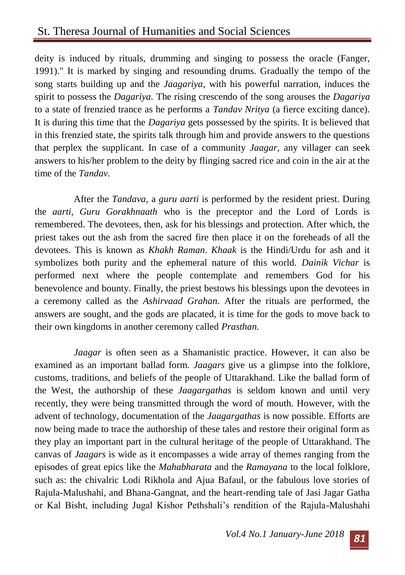deity is induced by rituals, drumming and singing to possess the oracle (Fanger, 1991)." It is marked by singing and resounding drums. Gradually the tempo of the song starts building up and the *Jaagariya,* with his powerful narration, induces the spirit to possess the *Dagariya.* The rising crescendo of the song arouses the *Dagariya*  to a state of frenzied trance as he performs a *Tandav Nritya* (a fierce exciting dance). It is during this time that the *Dagariya* gets possessed by the spirits. It is believed that in this frenzied state, the spirits talk through him and provide answers to the questions that perplex the supplicant*.* In case of a community *Jaagar,* any villager can seek answers to his/her problem to the deity by flinging sacred rice and coin in the air at the time of the *Tandav.*

After the *Tandava,* a *guru aarti* is performed by the resident priest. During the *aarti, Guru Gorakhnaath* who is the preceptor and the Lord of Lords is remembered. The devotees, then, ask for his blessings and protection. After which, the priest takes out the ash from the sacred fire then place it on the foreheads of all the devotees. This is known as *Khakh Raman*. *Khaak* is the Hindi/Urdu for ash and it symbolizes both purity and the ephemeral nature of this world. *Dainik Vichar* is performed next where the people contemplate and remembers God for his benevolence and bounty. Finally, the priest bestows his blessings upon the devotees in a ceremony called as the *Ashirvaad Grahan*. After the rituals are performed, the answers are sought, and the gods are placated, it is time for the gods to move back to their own kingdoms in another ceremony called *Prasthan.*

*Jaagar* is often seen as a Shamanistic practice. However, it can also be examined as an important ballad form. *Jaagars* give us a glimpse into the folklore, customs, traditions, and beliefs of the people of Uttarakhand. Like the ballad form of the West, the authorship of these *Jaagargathas* is seldom known and until very recently, they were being transmitted through the word of mouth. However, with the advent of technology, documentation of the *Jaagargathas* is now possible. Efforts are now being made to trace the authorship of these tales and restore their original form as they play an important part in the cultural heritage of the people of Uttarakhand. The canvas of *Jaagars* is wide as it encompasses a wide array of themes ranging from the episodes of great epics like the *Mahabharata* and the *Ramayana* to the local folklore, such as: the chivalric Lodi Rikhola and Ajua Bafaul, or the fabulous love stories of Rajula-Malushahi, and Bhana-Gangnat, and the heart-rending tale of Jasi Jagar Gatha or Kal Bisht, including Jugal Kishor Pethshali's rendition of the Rajula-Malushahi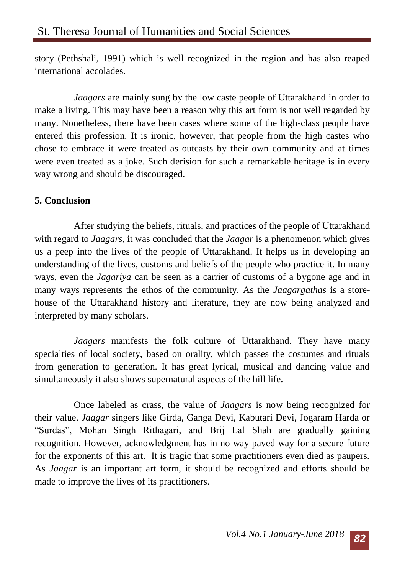story (Pethshali, 1991) which is well recognized in the region and has also reaped international accolades.

*Jaagars* are mainly sung by the low caste people of Uttarakhand in order to make a living. This may have been a reason why this art form is not well regarded by many. Nonetheless, there have been cases where some of the high-class people have entered this profession. It is ironic, however, that people from the high castes who chose to embrace it were treated as outcasts by their own community and at times were even treated as a joke. Such derision for such a remarkable heritage is in every way wrong and should be discouraged.

#### **5. Conclusion**

After studying the beliefs, rituals, and practices of the people of Uttarakhand with regard to *Jaagars,* it was concluded that the *Jaagar* is a phenomenon which gives us a peep into the lives of the people of Uttarakhand. It helps us in developing an understanding of the lives, customs and beliefs of the people who practice it. In many ways, even the *Jagariya* can be seen as a carrier of customs of a bygone age and in many ways represents the ethos of the community. As the *Jaagargathas* is a storehouse of the Uttarakhand history and literature, they are now being analyzed and interpreted by many scholars.

*Jaagars* manifests the folk culture of Uttarakhand. They have many specialties of local society, based on orality, which passes the costumes and rituals from generation to generation. It has great lyrical, musical and dancing value and simultaneously it also shows supernatural aspects of the hill life.

Once labeled as crass, the value of *Jaagars* is now being recognized for their value. *Jaagar* singers like Girda, Ganga Devi, Kabutari Devi, Jogaram Harda or "Surdas", Mohan Singh Rithagari, and Brij Lal Shah are gradually gaining recognition. However, acknowledgment has in no way paved way for a secure future for the exponents of this art. It is tragic that some practitioners even died as paupers. As *Jaagar* is an important art form, it should be recognized and efforts should be made to improve the lives of its practitioners.